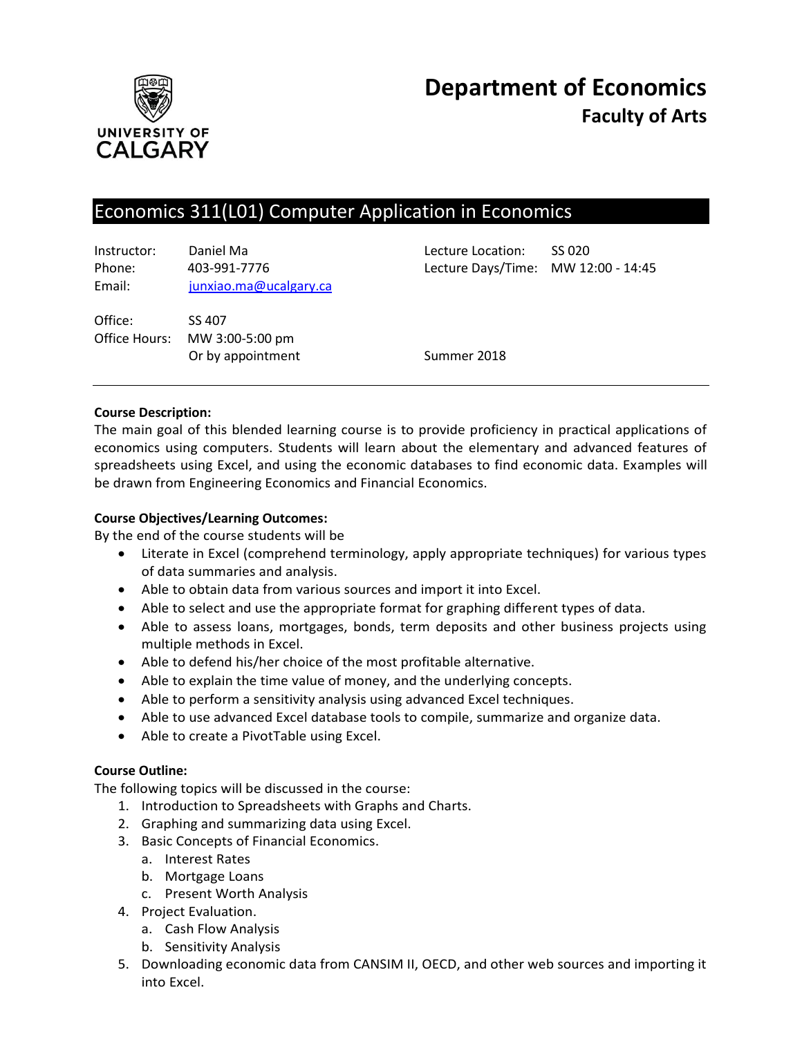

# Economics 311(L01) Computer Application in Economics

Instructor: Daniel Ma Lecture Location: SS 020 Phone: 403-991-7776 Lecture Days/Time: MW 12:00 - 14:45 Email: [junxiao.ma@ucalgary.ca](mailto:junxiao.ma@ucalgary.ca)

Office: SS 407 Office Hours: MW 3:00-5:00 pm Or by appointment Summer 2018

## **Course Description:**

The main goal of this blended learning course is to provide proficiency in practical applications of economics using computers. Students will learn about the elementary and advanced features of spreadsheets using Excel, and using the economic databases to find economic data. Examples will be drawn from Engineering Economics and Financial Economics.

## **Course Objectives/Learning Outcomes:**

By the end of the course students will be

- Literate in Excel (comprehend terminology, apply appropriate techniques) for various types of data summaries and analysis.
- Able to obtain data from various sources and import it into Excel.
- Able to select and use the appropriate format for graphing different types of data.
- Able to assess loans, mortgages, bonds, term deposits and other business projects using multiple methods in Excel.
- Able to defend his/her choice of the most profitable alternative.
- Able to explain the time value of money, and the underlying concepts.
- Able to perform a sensitivity analysis using advanced Excel techniques.
- Able to use advanced Excel database tools to compile, summarize and organize data.
- Able to create a PivotTable using Excel.

## **Course Outline:**

The following topics will be discussed in the course:

- 1. Introduction to Spreadsheets with Graphs and Charts.
- 2. Graphing and summarizing data using Excel.
- 3. Basic Concepts of Financial Economics.
	- a. Interest Rates
	- b. Mortgage Loans
	- c. Present Worth Analysis
- 4. Project Evaluation.
	- a. Cash Flow Analysis
	- b. Sensitivity Analysis
- 5. Downloading economic data from CANSIM II, OECD, and other web sources and importing it into Excel.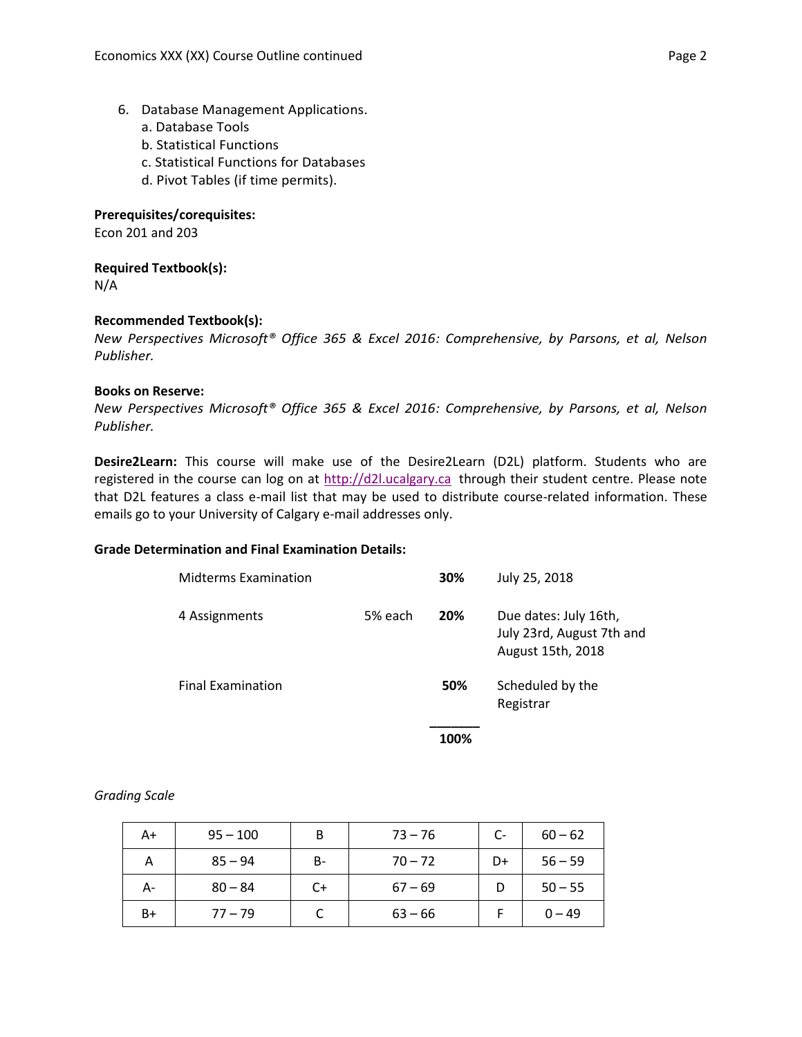- 6. Database Management Applications.
	- a. Database Tools
	- b. Statistical Functions
	- c. Statistical Functions for Databases
	- d. Pivot Tables (if time permits).

## **Prerequisites/corequisites:**

Econ 201 and 203

## **Required Textbook(s):**

N/A

## **Recommended Textbook(s):**

*New Perspectives Microsoft® Office 365 & Excel 2016: Comprehensive, by Parsons, et al, Nelson Publisher.*

## **Books on Reserve:**

*New Perspectives Microsoft® Office 365 & Excel 2016: Comprehensive, by Parsons, et al, Nelson Publisher.*

**Desire2Learn:** This course will make use of the Desire2Learn (D2L) platform. Students who are registered in the course can log on at [http://d2l.ucalgary.ca](http://d2l.ucalgary.ca/) through their student centre. Please note that D2L features a class e-mail list that may be used to distribute course-related information. These emails go to your University of Calgary e-mail addresses only.

## **Grade Determination and Final Examination Details:**

| <b>Midterms Examination</b> |         | 30% | July 25, 2018                                                           |
|-----------------------------|---------|-----|-------------------------------------------------------------------------|
| 4 Assignments               | 5% each | 20% | Due dates: July 16th,<br>July 23rd, August 7th and<br>August 15th, 2018 |
| <b>Final Examination</b>    |         | 50% | Scheduled by the<br>Registrar                                           |
|                             |         |     |                                                                         |

 **100%**

## *Grading Scale*

| A+ | $95 - 100$ | B    | $73 - 76$ | C- | $60 - 62$ |
|----|------------|------|-----------|----|-----------|
| Α  | $85 - 94$  | B-   | $70 - 72$ | D+ | $56 - 59$ |
| А- | $80 - 84$  | $C+$ | $67 - 69$ |    | $50 - 55$ |
| B+ | $77 - 79$  |      | $63 - 66$ |    | $0 - 49$  |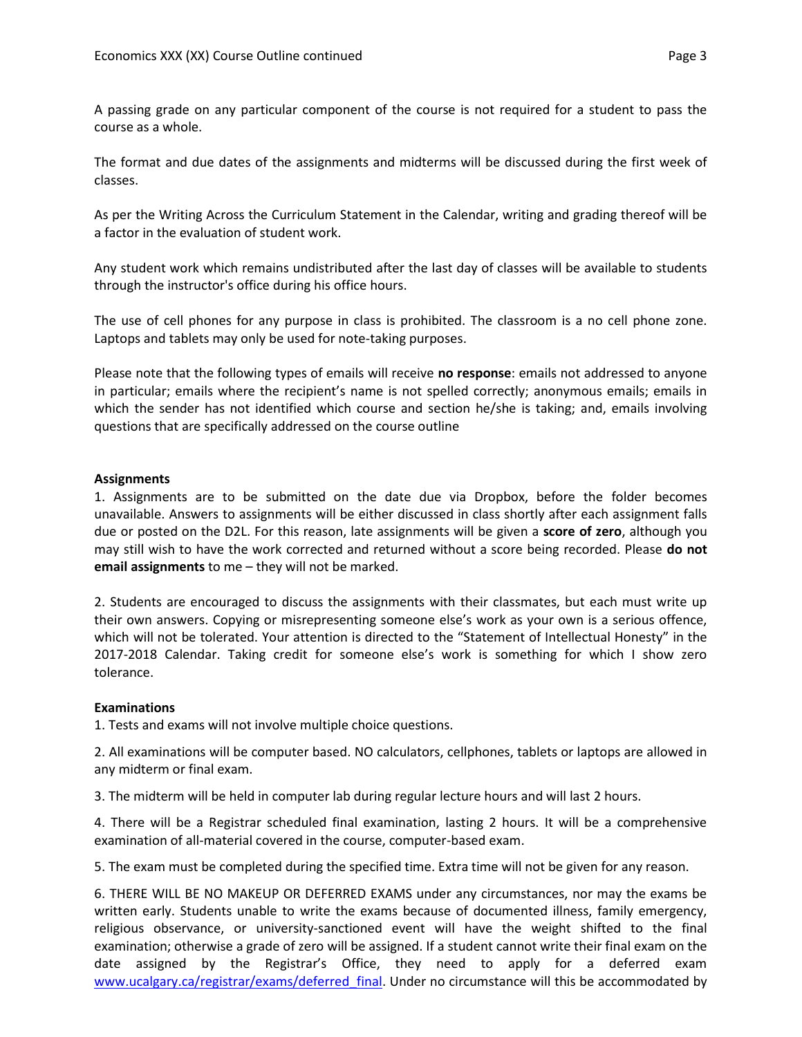A passing grade on any particular component of the course is not required for a student to pass the course as a whole.

The format and due dates of the assignments and midterms will be discussed during the first week of classes.

As per the Writing Across the Curriculum Statement in the Calendar, writing and grading thereof will be a factor in the evaluation of student work.

Any student work which remains undistributed after the last day of classes will be available to students through the instructor's office during his office hours.

The use of cell phones for any purpose in class is prohibited. The classroom is a no cell phone zone. Laptops and tablets may only be used for note-taking purposes.

Please note that the following types of emails will receive **no response**: emails not addressed to anyone in particular; emails where the recipient's name is not spelled correctly; anonymous emails; emails in which the sender has not identified which course and section he/she is taking; and, emails involving questions that are specifically addressed on the course outline

#### **Assignments**

1. Assignments are to be submitted on the date due via Dropbox, before the folder becomes unavailable. Answers to assignments will be either discussed in class shortly after each assignment falls due or posted on the D2L. For this reason, late assignments will be given a **score of zero**, although you may still wish to have the work corrected and returned without a score being recorded. Please **do not email assignments** to me – they will not be marked.

2. Students are encouraged to discuss the assignments with their classmates, but each must write up their own answers. Copying or misrepresenting someone else's work as your own is a serious offence, which will not be tolerated. Your attention is directed to the "Statement of Intellectual Honesty" in the 2017-2018 Calendar. Taking credit for someone else's work is something for which I show zero tolerance.

#### **Examinations**

1. Tests and exams will not involve multiple choice questions.

2. All examinations will be computer based. NO calculators, cellphones, tablets or laptops are allowed in any midterm or final exam.

3. The midterm will be held in computer lab during regular lecture hours and will last 2 hours.

4. There will be a Registrar scheduled final examination, lasting 2 hours. It will be a comprehensive examination of all-material covered in the course, computer-based exam.

5. The exam must be completed during the specified time. Extra time will not be given for any reason.

6. THERE WILL BE NO MAKEUP OR DEFERRED EXAMS under any circumstances, nor may the exams be written early. Students unable to write the exams because of documented illness, family emergency, religious observance, or university-sanctioned event will have the weight shifted to the final examination; otherwise a grade of zero will be assigned. If a student cannot write their final exam on the date assigned by the Registrar's Office, they need to apply for a deferred exam [www.ucalgary.ca/registrar/exams/deferred\\_final.](http://www.ucalgary.ca/registrar/exams/deferred_final) Under no circumstance will this be accommodated by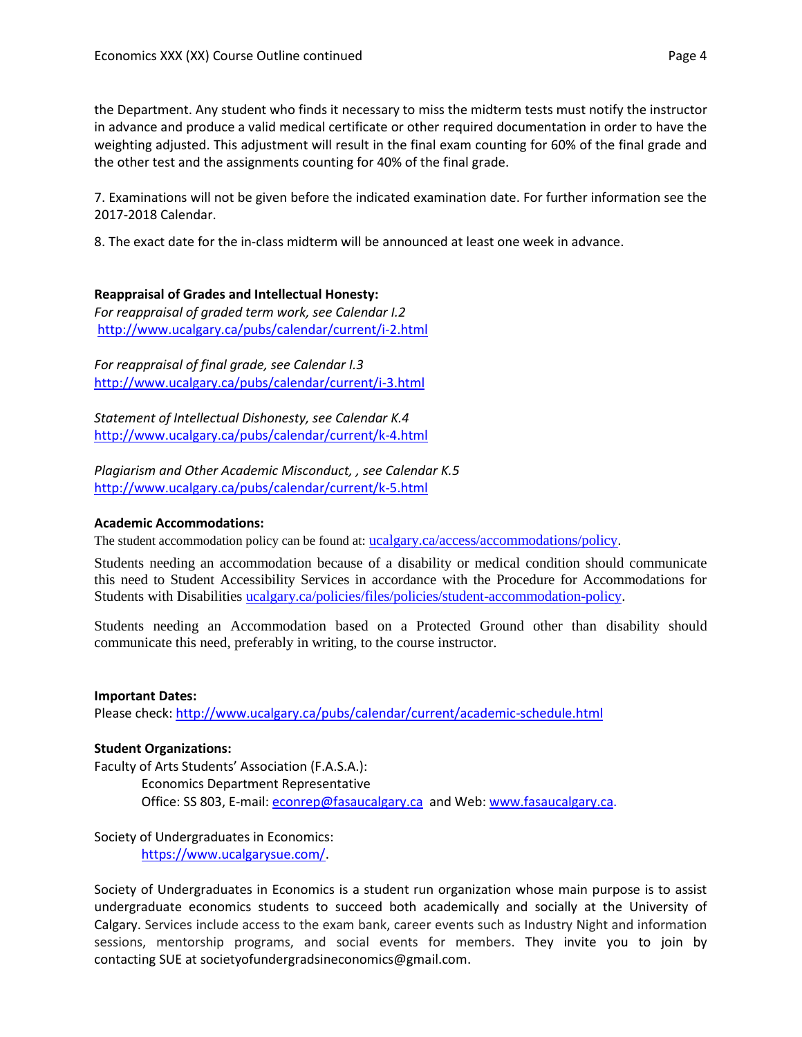the Department. Any student who finds it necessary to miss the midterm tests must notify the instructor in advance and produce a valid medical certificate or other required documentation in order to have the weighting adjusted. This adjustment will result in the final exam counting for 60% of the final grade and the other test and the assignments counting for 40% of the final grade.

7. Examinations will not be given before the indicated examination date. For further information see the 2017-2018 Calendar.

8. The exact date for the in-class midterm will be announced at least one week in advance.

## **Reappraisal of Grades and Intellectual Honesty:**

*For reappraisal of graded term work, see Calendar I.2* <http://www.ucalgary.ca/pubs/calendar/current/i-2.html>

*For reappraisal of final grade, see Calendar I.3* <http://www.ucalgary.ca/pubs/calendar/current/i-3.html>

*Statement of Intellectual Dishonesty, see Calendar K.4* <http://www.ucalgary.ca/pubs/calendar/current/k-4.html>

*Plagiarism and Other Academic Misconduct, , see Calendar K.5* <http://www.ucalgary.ca/pubs/calendar/current/k-5.html>

## **Academic Accommodations:**

The student accommodation policy can be found at: [ucalgary.ca/access/accommodations/policy](http://www.ucalgary.ca/access/accommodations/policy).

Students needing an accommodation because of a disability or medical condition should communicate this need to Student Accessibility Services in accordance with the Procedure for Accommodations for Students with Disabilities [ucalgary.ca/policies/files/policies/student-accommodation-policy.](http://www.ucalgary.ca/policies/files/policies/student-accommodation-policy.pdf)

Students needing an Accommodation based on a Protected Ground other than disability should communicate this need, preferably in writing, to the course instructor.

#### **Important Dates:**

Please check:<http://www.ucalgary.ca/pubs/calendar/current/academic-schedule.html>

## **Student Organizations:**

Faculty of Arts Students' Association (F.A.S.A.): Economics Department Representative Office: SS 803, E-mail: [econrep@fasaucalgary.ca](mailto:econrep@fasaucalgary.ca) and Web[: www.fasaucalgary.ca.](http://www.fasaucalgary.ca/)

Society of Undergraduates in Economics: [https://www.ucalgarysue.com/.](https://www.ucalgarysue.com/)

Society of Undergraduates in Economics is a student run organization whose main purpose is to assist undergraduate economics students to succeed both academically and socially at the University of Calgary. Services include access to the exam bank, career events such as Industry Night and information sessions, mentorship programs, and social events for members. They invite you to join by contacting SUE at societyofundergradsineconomics@gmail.com.